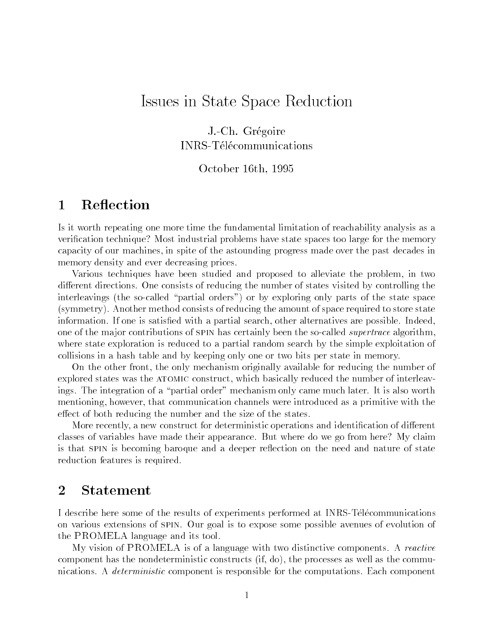# Issues in State Space Reduction

J.-Ch. GregoireINRS-Telecommunications

## October 16th, 1995

#### 1**Reflection**

Is it worth repeating one more time the fundamental limitation of reachability analysis as a verification technique? Most industrial problems have state spaces too large for the memory capacity of our machines, in spite of the astounding progress made over the past decades in memory density and ever decreasing prices.

Various techniques have been studied and proposed to alleviate the problem, in two different directions. One consists of reducing the number of states visited by controlling the interleavings (the so-called "partial orders") or by exploring only parts of the state space (symmetry). Another method consists of reducing the amount of space required to store state information. If one is satisfied with a partial search, other alternatives are possible. Indeed, one of the major contributions of SPIN has certainly been the so-called *supertrace* algorithm. where state exploration is reduced to a partial random search by the simple exploitation of collisions in a hash table and by keeping only one or two bits per state in memory.

On the other front, the only mechanism originally available for reducing the number of explored states was the atomic construct, which basically reduced the number of interleavings. The integration of a "partial order" mechanism only came much later. It is also worth mentioning, however, that communication channels were introduced as a primitive with the effect of both reducing the number and the size of the states.

More recently, a new construct for deterministic operations and identification of different classes of variables have made their appearance. But where do we go from here? My claim is that SPIN is becoming baroque and a deeper reflection on the need and nature of state reduction features is required.

#### 2Statement

I describe here some of the results of experiments performed at INRS-Telecommunications on various extensions of spin. Our goal is to expose some possible avenues of evolution of the PROMELA language and its tool.

My vision of PROMELA is of a language with two distinctive components. A reactive component has the nondeterministic constructs (if, do), the processes as well as the communications. A *deterministic* component is responsible for the computations. Each component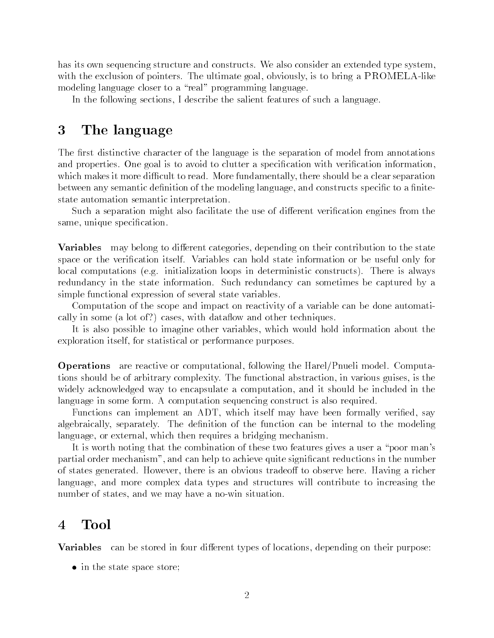has its own sequencing structure and constructs. We also consider an extended type system, with the exclusion of pointers. The ultimate goal, obviously, is to bring a PROMELA-like modeling language closer to a "real" programming language.

In the following sections, I describe the salient features of such a language.

### 3The language

The first distinctive character of the language is the separation of model from annotations and properties. One goal is to avoid to clutter a specification with verification information, which makes it more difficult to read. More fundamentally, there should be a clear separation between any semantic definition of the modeling language, and constructs specific to a finitestate automation semantic interpretation.

Such a separation might also facilitate the use of different verification engines from the same, unique specification.

**Variables** may belong to different categories, depending on their contribution to the state space or the verification itself. Variables can hold state information or be useful only for local computations (e.g. initialization loops in deterministic constructs). There is always redundancy in the state information. Such redundancy can sometimes be captured by a simple functional expression of several state variables.

Computation of the scope and impact on reactivity of a variable can be done automatically in some (a lot of?) cases, with dataflow and other techniques.

It is also possible to imagine other variables, which would hold information about the exploration itself, for statistical or performance purposes.

Operations are reactive or computational, following the Harel/Pnueli model. Computations should be of arbitrary complexity. The functional abstraction, in various guises, is the widely acknowledged way to encapsulate a computation, and it should be included in the language in some form. A computation sequencing construct is also required.

Functions can implement an ADT, which itself may have been formally verified, say algebraically, separately. The definition of the function can be internal to the modeling language, or external, which then requires a bridging mechanism.

It is worth noting that the combination of these two features gives a user a "poor man's partial order mechanism", and can help to achieve quite significant reductions in the number of states generated. However, there is an obvious tradeoff to observe here. Having a richer language, and more complex data types and structures will contribute to increasing the number of states, and we may have a no-win situation.

#### Tool 4 4

**Variables** can be stored in four different types of locations, depending on their purpose:

in the state space store;